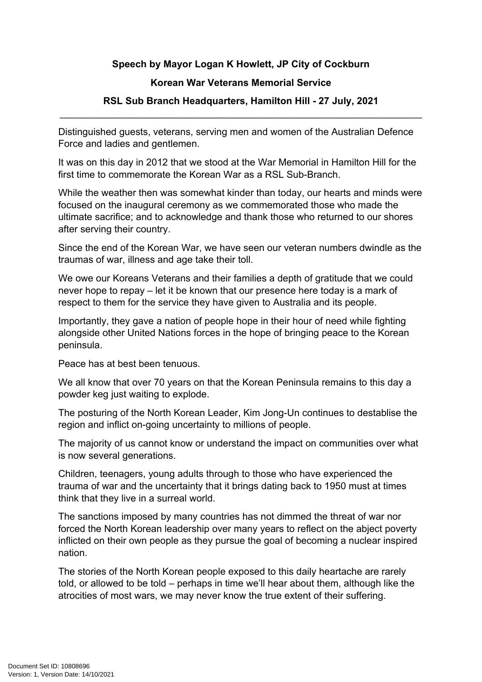## **Speech by Mayor Logan K Howlett, JP City of Cockburn**

## **Korean War Veterans Memorial Service**

## **RSL Sub Branch Headquarters, Hamilton Hill - 27 July, 2021** \_\_\_\_\_\_\_\_\_\_\_\_\_\_\_\_\_\_\_\_\_\_\_\_\_\_\_\_\_\_\_\_\_\_\_\_\_\_\_\_\_\_\_\_\_\_\_\_\_\_\_\_\_\_\_\_\_\_\_\_\_\_\_\_\_\_\_

Distinguished guests, veterans, serving men and women of the Australian Defence Force and ladies and gentlemen.

It was on this day in 2012 that we stood at the War Memorial in Hamilton Hill for the first time to commemorate the Korean War as a RSL Sub-Branch.

While the weather then was somewhat kinder than today, our hearts and minds were focused on the inaugural ceremony as we commemorated those who made the ultimate sacrifice; and to acknowledge and thank those who returned to our shores after serving their country.

Since the end of the Korean War, we have seen our veteran numbers dwindle as the traumas of war, illness and age take their toll.

We owe our Koreans Veterans and their families a depth of gratitude that we could never hope to repay – let it be known that our presence here today is a mark of respect to them for the service they have given to Australia and its people.

Importantly, they gave a nation of people hope in their hour of need while fighting alongside other United Nations forces in the hope of bringing peace to the Korean peninsula.

Peace has at best been tenuous.

We all know that over 70 years on that the Korean Peninsula remains to this day a powder keg just waiting to explode.

The posturing of the North Korean Leader, Kim Jong-Un continues to destablise the region and inflict on-going uncertainty to millions of people.

The majority of us cannot know or understand the impact on communities over what is now several generations.

Children, teenagers, young adults through to those who have experienced the trauma of war and the uncertainty that it brings dating back to 1950 must at times think that they live in a surreal world.

The sanctions imposed by many countries has not dimmed the threat of war nor forced the North Korean leadership over many years to reflect on the abject poverty inflicted on their own people as they pursue the goal of becoming a nuclear inspired nation.

The stories of the North Korean people exposed to this daily heartache are rarely told, or allowed to be told – perhaps in time we'll hear about them, although like the atrocities of most wars, we may never know the true extent of their suffering.